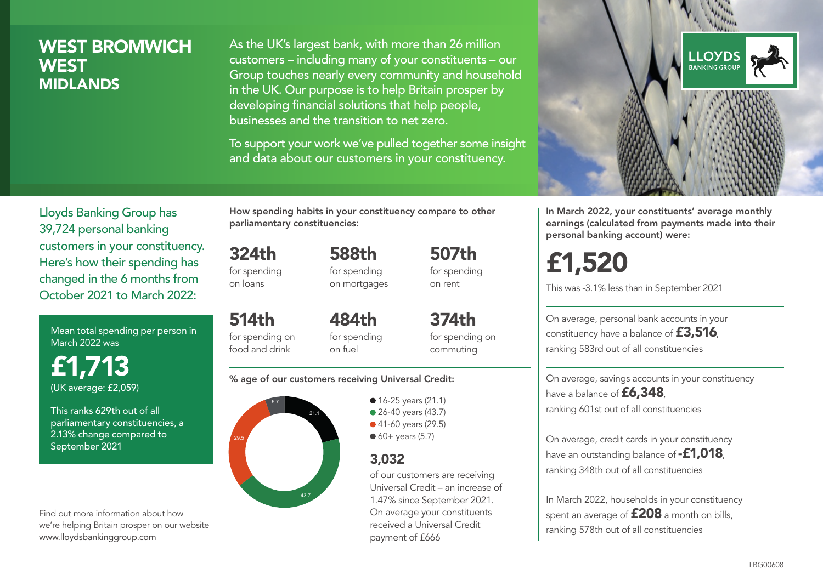### WEST BROMWICH **WEST MIDLANDS**

As the UK's largest bank, with more than 26 million customers – including many of your constituents – our Group touches nearly every community and household in the UK. Our purpose is to help Britain prosper by developing financial solutions that help people, businesses and the transition to net zero.

To support your work we've pulled together some insight and data about our customers in your constituency.



Mean total spending per person in March 2022 was

£1,713 (UK average: £2,059)

This ranks 629th out of all parliamentary constituencies, a 2.13% change compared to September 2021

Find out more information about how we're helping Britain prosper on our website www.lloydsbankinggroup.com

How spending habits in your constituency compare to other parliamentary constituencies:

324th for spending 588th for spending on mortgages

on loans

514th

food and drink

484th

for spending on for spending on fuel

for spending on commuting

507th for spending on rent

374th

#### % age of our customers receiving Universal Credit:



• 16-25 years (21.1) • 26-40 years (43.7) ● 41-60 years (29.5)  $60+$  years (5.7)

### 3,032

of our customers are receiving Universal Credit – an increase of 1.47% since September 2021. On average your constituents received a Universal Credit payment of £666



In March 2022, your constituents' average monthly earnings (calculated from payments made into their personal banking account) were:

# £1,520

This was -3.1% less than in September 2021

On average, personal bank accounts in your constituency have a balance of £3,516, ranking 583rd out of all constituencies

On average, savings accounts in your constituency have a balance of **£6,348**, ranking 601st out of all constituencies

On average, credit cards in your constituency have an outstanding balance of **-£1,018**, ranking 348th out of all constituencies

In March 2022, households in your constituency spent an average of **£208** a month on bills, ranking 578th out of all constituencies